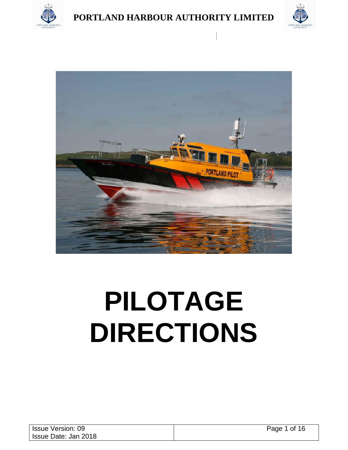





# **PILOTAGE DIRECTIONS**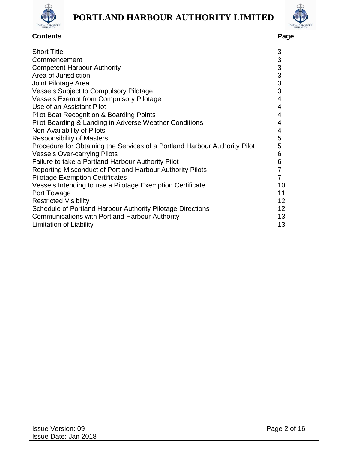



## **Contents Page**

| <b>Short Title</b>                                                         | 3                         |
|----------------------------------------------------------------------------|---------------------------|
| Commencement                                                               | $\sqrt{3}$                |
| <b>Competent Harbour Authority</b>                                         | $\ensuremath{\mathsf{3}}$ |
| Area of Jurisdiction                                                       | 3                         |
| Joint Pilotage Area                                                        | $\mathbf{3}$              |
| <b>Vessels Subject to Compulsory Pilotage</b>                              | 3                         |
| <b>Vessels Exempt from Compulsory Pilotage</b>                             | $\overline{4}$            |
| Use of an Assistant Pilot                                                  | 4                         |
| <b>Pilot Boat Recognition &amp; Boarding Points</b>                        | 4                         |
| Pilot Boarding & Landing in Adverse Weather Conditions                     | 4                         |
| Non-Availability of Pilots                                                 | 4                         |
| <b>Responsibility of Masters</b>                                           | 5                         |
| Procedure for Obtaining the Services of a Portland Harbour Authority Pilot | 5                         |
| <b>Vessels Over-carrying Pilots</b>                                        | 6                         |
| Failure to take a Portland Harbour Authority Pilot                         | 6                         |
| Reporting Misconduct of Portland Harbour Authority Pilots                  | $\overline{7}$            |
| <b>Pilotage Exemption Certificates</b>                                     | $\overline{7}$            |
| Vessels Intending to use a Pilotage Exemption Certificate                  | 10                        |
| Port Towage                                                                | 11                        |
| <b>Restricted Visibility</b>                                               | 12                        |
|                                                                            | 12                        |
| Schedule of Portland Harbour Authority Pilotage Directions                 |                           |
| <b>Communications with Portland Harbour Authority</b>                      | 13                        |
| Limitation of Liability                                                    | 13                        |

| <b>Issue Version: 09</b> | Page 2 of 16 |
|--------------------------|--------------|
| Issue Date: Jan 2018     |              |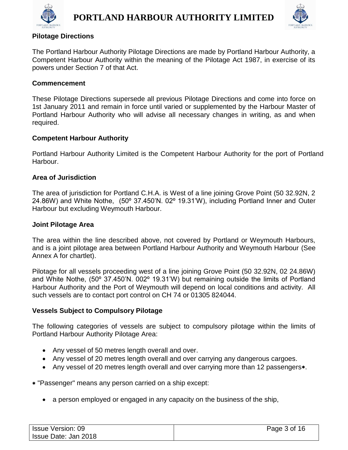



#### **Pilotage Directions**

The Portland Harbour Authority Pilotage Directions are made by Portland Harbour Authority, a Competent Harbour Authority within the meaning of the Pilotage Act 1987, in exercise of its powers under Section 7 of that Act.

#### **Commencement**

These Pilotage Directions supersede all previous Pilotage Directions and come into force on 1st January 2011 and remain in force until varied or supplemented by the Harbour Master of Portland Harbour Authority who will advise all necessary changes in writing, as and when required.

#### **Competent Harbour Authority**

Portland Harbour Authority Limited is the Competent Harbour Authority for the port of Portland Harbour.

#### **Area of Jurisdiction**

The area of jurisdiction for Portland C.H.A. is West of a line joining Grove Point (50 32.92N, 2 24.86W) and White Nothe, (50º 37.450'N. 02º 19.31'W), including Portland Inner and Outer Harbour but excluding Weymouth Harbour.

#### **Joint Pilotage Area**

The area within the line described above, not covered by Portland or Weymouth Harbours, and is a joint pilotage area between Portland Harbour Authority and Weymouth Harbour (See Annex A for chartlet).

Pilotage for all vessels proceeding west of a line joining Grove Point (50 32.92N, 02 24.86W) and White Nothe, (50º 37.450'N. 002º 19.31'W) but remaining outside the limits of Portland Harbour Authority and the Port of Weymouth will depend on local conditions and activity. All such vessels are to contact port control on CH 74 or 01305 824044.

#### **Vessels Subject to Compulsory Pilotage**

The following categories of vessels are subject to compulsory pilotage within the limits of Portland Harbour Authority Pilotage Area:

- Any vessel of 50 metres length overall and over.
- Any vessel of 20 metres length overall and over carrying any dangerous cargoes.
- Any vessel of 20 metres length overall and over carrying more than 12 passengers\*.
- "Passenger" means any person carried on a ship except:
	- a person employed or engaged in any capacity on the business of the ship,

| <b>Issue Version: 09</b> | Page 3 of 16 |
|--------------------------|--------------|
| Issue Date: Jan 2018     |              |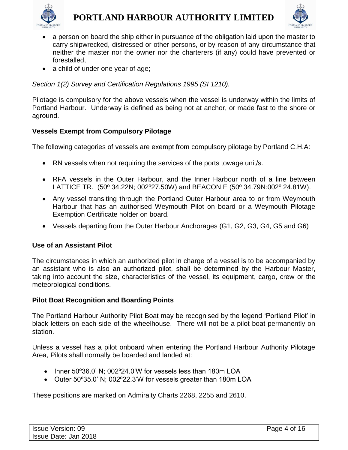



- a person on board the ship either in pursuance of the obligation laid upon the master to carry shipwrecked, distressed or other persons, or by reason of any circumstance that neither the master nor the owner nor the charterers (if any) could have prevented or forestalled,
- a child of under one year of age;

*Section 1(2) Survey and Certification Regulations 1995 (SI 1210).*

Pilotage is compulsory for the above vessels when the vessel is underway within the limits of Portland Harbour. Underway is defined as being not at anchor, or made fast to the shore or aground.

#### **Vessels Exempt from Compulsory Pilotage**

The following categories of vessels are exempt from compulsory pilotage by Portland C.H.A:

- RN vessels when not requiring the services of the ports towage unit/s.
- RFA vessels in the Outer Harbour, and the Inner Harbour north of a line between LATTICE TR. (50º 34.22N; 002º27.50W) and BEACON E (50º 34.79N:002º 24.81W).
- Any vessel transiting through the Portland Outer Harbour area to or from Weymouth Harbour that has an authorised Weymouth Pilot on board or a Weymouth Pilotage Exemption Certificate holder on board.
- Vessels departing from the Outer Harbour Anchorages (G1, G2, G3, G4, G5 and G6)

#### **Use of an Assistant Pilot**

The circumstances in which an authorized pilot in charge of a vessel is to be accompanied by an assistant who is also an authorized pilot, shall be determined by the Harbour Master, taking into account the size, characteristics of the vessel, its equipment, cargo, crew or the meteorological conditions.

#### **Pilot Boat Recognition and Boarding Points**

The Portland Harbour Authority Pilot Boat may be recognised by the legend 'Portland Pilot' in black letters on each side of the wheelhouse. There will not be a pilot boat permanently on station.

Unless a vessel has a pilot onboard when entering the Portland Harbour Authority Pilotage Area, Pilots shall normally be boarded and landed at:

- Inner 50°36.0' N; 002°24.0'W for vessels less than 180m LOA
- Outer 50º35.0' N; 002º22.3'W for vessels greater than 180m LOA

These positions are marked on Admiralty Charts 2268, 2255 and 2610.

| <b>Issue Version: 09</b> | Page 4 of 16 |
|--------------------------|--------------|
| Issue Date: Jan 2018     |              |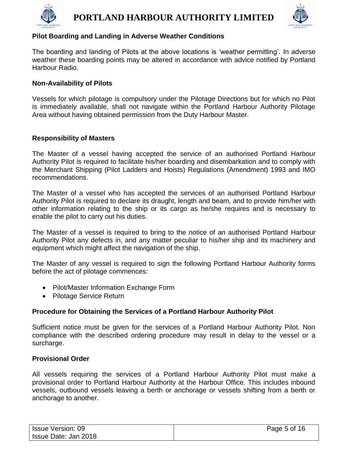



#### **Pilot Boarding and Landing in Adverse Weather Conditions**

The boarding and landing of Pilots at the above locations is 'weather permitting'. In adverse weather these boarding points may be altered in accordance with advice notified by Portland Harbour Radio.

#### **Non-Availability of Pilots**

Vessels for which pilotage is compulsory under the Pilotage Directions but for which no Pilot is immediately available, shall not navigate within the Portland Harbour Authority Pilotage Area without having obtained permission from the Duty Harbour Master.

#### **Responsibility of Masters**

The Master of a vessel having accepted the service of an authorised Portland Harbour Authority Pilot is required to facilitate his/her boarding and disembarkation and to comply with the Merchant Shipping (Pilot Ladders and Hoists) Regulations (Amendment) 1993 and IMO recommendations.

The Master of a vessel who has accepted the services of an authorised Portland Harbour Authority Pilot is required to declare its draught, length and beam, and to provide him/her with other information relating to the ship or its cargo as he/she requires and is necessary to enable the pilot to carry out his duties.

The Master of a vessel is required to bring to the notice of an authorised Portland Harbour Authority Pilot any defects in, and any matter peculiar to his/her ship and its machinery and equipment which might affect the navigation of the ship.

The Master of any vessel is required to sign the following Portland Harbour Authority forms before the act of pilotage commences:

- Pilot/Master Information Exchange Form
- Pilotage Service Return

#### **Procedure for Obtaining the Services of a Portland Harbour Authority Pilot**

Sufficient notice must be given for the services of a Portland Harbour Authority Pilot. Non compliance with the described ordering procedure may result in delay to the vessel or a surcharge.

#### **Provisional Order**

All vessels requiring the services of a Portland Harbour Authority Pilot must make a provisional order to Portland Harbour Authority at the Harbour Office. This includes inbound vessels, outbound vessels leaving a berth or anchorage or vessels shifting from a berth or anchorage to another.

| <b>Issue Version: 09</b> | Page 5 of 16 |
|--------------------------|--------------|
| Issue Date: Jan 2018     |              |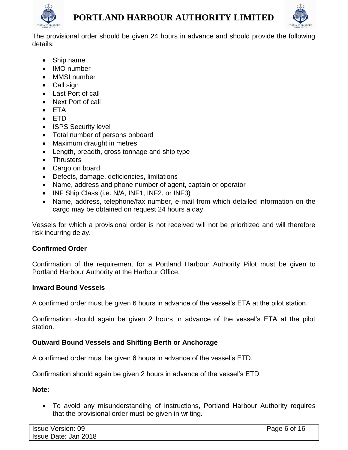



The provisional order should be given 24 hours in advance and should provide the following details:

- Ship name
- IMO number
- MMSI number
- Call sign
- Last Port of call
- Next Port of call
- ETA
- ETD
- ISPS Security level
- Total number of persons onboard
- Maximum draught in metres
- Length, breadth, gross tonnage and ship type
- Thrusters
- Cargo on board
- Defects, damage, deficiencies, limitations
- Name, address and phone number of agent, captain or operator
- INF Ship Class (i.e. N/A, INF1, INF2, or INF3)
- Name, address, telephone/fax number, e-mail from which detailed information on the cargo may be obtained on request 24 hours a day

Vessels for which a provisional order is not received will not be prioritized and will therefore risk incurring delay.

#### **Confirmed Order**

Confirmation of the requirement for a Portland Harbour Authority Pilot must be given to Portland Harbour Authority at the Harbour Office.

#### **Inward Bound Vessels**

A confirmed order must be given 6 hours in advance of the vessel's ETA at the pilot station.

Confirmation should again be given 2 hours in advance of the vessel's ETA at the pilot station.

#### **Outward Bound Vessels and Shifting Berth or Anchorage**

A confirmed order must be given 6 hours in advance of the vessel's ETD.

Confirmation should again be given 2 hours in advance of the vessel's ETD.

#### **Note:**

• To avoid any misunderstanding of instructions, Portland Harbour Authority requires that the provisional order must be given in writing.

| Issue Version: 09    | Page 6 of 16 |
|----------------------|--------------|
| Issue Date: Jan 2018 |              |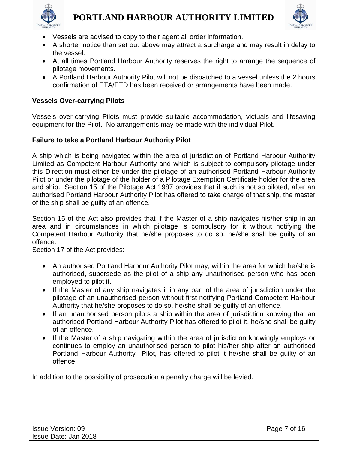



- Vessels are advised to copy to their agent all order information.
- A shorter notice than set out above may attract a surcharge and may result in delay to the vessel.
- At all times Portland Harbour Authority reserves the right to arrange the sequence of pilotage movements.
- A Portland Harbour Authority Pilot will not be dispatched to a vessel unless the 2 hours confirmation of ETA/ETD has been received or arrangements have been made.

#### **Vessels Over-carrying Pilots**

Vessels over-carrying Pilots must provide suitable accommodation, victuals and lifesaving equipment for the Pilot. No arrangements may be made with the individual Pilot.

#### **Failure to take a Portland Harbour Authority Pilot**

A ship which is being navigated within the area of jurisdiction of Portland Harbour Authority Limited as Competent Harbour Authority and which is subject to compulsory pilotage under this Direction must either be under the pilotage of an authorised Portland Harbour Authority Pilot or under the pilotage of the holder of a Pilotage Exemption Certificate holder for the area and ship. Section 15 of the Pilotage Act 1987 provides that if such is not so piloted, after an authorised Portland Harbour Authority Pilot has offered to take charge of that ship, the master of the ship shall be guilty of an offence.

Section 15 of the Act also provides that if the Master of a ship navigates his/her ship in an area and in circumstances in which pilotage is compulsory for it without notifying the Competent Harbour Authority that he/she proposes to do so, he/she shall be guilty of an offence.

Section 17 of the Act provides:

- An authorised Portland Harbour Authority Pilot may, within the area for which he/she is authorised, supersede as the pilot of a ship any unauthorised person who has been employed to pilot it.
- If the Master of any ship navigates it in any part of the area of jurisdiction under the pilotage of an unauthorised person without first notifying Portland Competent Harbour Authority that he/she proposes to do so, he/she shall be guilty of an offence.
- If an unauthorised person pilots a ship within the area of jurisdiction knowing that an authorised Portland Harbour Authority Pilot has offered to pilot it, he/she shall be guilty of an offence.
- If the Master of a ship navigating within the area of jurisdiction knowingly employs or continues to employ an unauthorised person to pilot his/her ship after an authorised Portland Harbour Authority Pilot, has offered to pilot it he/she shall be guilty of an offence.

In addition to the possibility of prosecution a penalty charge will be levied.

| <b>Issue Version: 09</b> | Page 7 of 16 |
|--------------------------|--------------|
| Issue Date: Jan 2018     |              |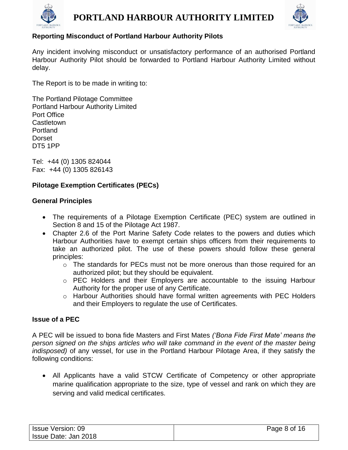



#### **Reporting Misconduct of Portland Harbour Authority Pilots**

Any incident involving misconduct or unsatisfactory performance of an authorised Portland Harbour Authority Pilot should be forwarded to Portland Harbour Authority Limited without delay.

The Report is to be made in writing to:

The Portland Pilotage Committee Portland Harbour Authority Limited Port Office **Castletown** Portland Dorset DT5 1PP

Tel: +44 (0) 1305 824044 Fax: +44 (0) 1305 826143

#### **Pilotage Exemption Certificates (PECs)**

#### **General Principles**

- The requirements of a Pilotage Exemption Certificate (PEC) system are outlined in Section 8 and 15 of the Pilotage Act 1987.
- Chapter 2.6 of the Port Marine Safety Code relates to the powers and duties which Harbour Authorities have to exempt certain ships officers from their requirements to take an authorized pilot. The use of these powers should follow these general principles:
	- $\circ$  The standards for PECs must not be more onerous than those required for an authorized pilot; but they should be equivalent.
	- o PEC Holders and their Employers are accountable to the issuing Harbour Authority for the proper use of any Certificate.
	- o Harbour Authorities should have formal written agreements with PEC Holders and their Employers to regulate the use of Certificates.

#### **Issue of a PEC**

A PEC will be issued to bona fide Masters and First Mates *('Bona Fide First Mate' means the person signed on the ships articles who will take command in the event of the master being indisposed)* of any vessel, for use in the Portland Harbour Pilotage Area, if they satisfy the following conditions:

• All Applicants have a valid STCW Certificate of Competency or other appropriate marine qualification appropriate to the size, type of vessel and rank on which they are serving and valid medical certificates.

| <b>Issue Version: 09</b> | Page 8 of 16 |
|--------------------------|--------------|
| Issue Date: Jan 2018     |              |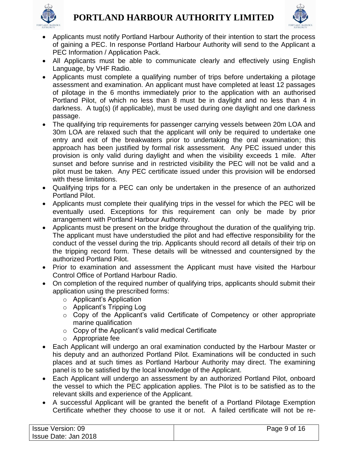



- Applicants must notify Portland Harbour Authority of their intention to start the process of gaining a PEC. In response Portland Harbour Authority will send to the Applicant a PEC Information / Application Pack.
- All Applicants must be able to communicate clearly and effectively using English Language, by VHF Radio.
- Applicants must complete a qualifying number of trips before undertaking a pilotage assessment and examination. An applicant must have completed at least 12 passages of pilotage in the 6 months immediately prior to the application with an authorised Portland Pilot, of which no less than 8 must be in daylight and no less than 4 in darkness. A tug(s) (if applicable), must be used during one daylight and one darkness passage.
- The qualifying trip requirements for passenger carrying vessels between 20m LOA and 30m LOA are relaxed such that the applicant will only be required to undertake one entry and exit of the breakwaters prior to undertaking the oral examination; this approach has been justified by formal risk assessment. Any PEC issued under this provision is only valid during daylight and when the visibility exceeds 1 mile. After sunset and before sunrise and in restricted visibility the PEC will not be valid and a pilot must be taken. Any PEC certificate issued under this provision will be endorsed with these limitations.
- Qualifying trips for a PEC can only be undertaken in the presence of an authorized Portland Pilot.
- Applicants must complete their qualifying trips in the vessel for which the PEC will be eventually used. Exceptions for this requirement can only be made by prior arrangement with Portland Harbour Authority.
- Applicants must be present on the bridge throughout the duration of the qualifying trip. The applicant must have understudied the pilot and had effective responsibility for the conduct of the vessel during the trip. Applicants should record all details of their trip on the tripping record form. These details will be witnessed and countersigned by the authorized Portland Pilot.
- Prior to examination and assessment the Applicant must have visited the Harbour Control Office of Portland Harbour Radio.
- On completion of the required number of qualifying trips, applicants should submit their application using the prescribed forms:
	- o Applicant's Application
	- o Applicant's Tripping Log
	- o Copy of the Applicant's valid Certificate of Competency or other appropriate marine qualification
	- o Copy of the Applicant's valid medical Certificate
	- o Appropriate fee
- Each Applicant will undergo an oral examination conducted by the Harbour Master or his deputy and an authorized Portland Pilot. Examinations will be conducted in such places and at such times as Portland Harbour Authority may direct. The examining panel is to be satisfied by the local knowledge of the Applicant.
- Each Applicant will undergo an assessment by an authorized Portland Pilot, onboard the vessel to which the PEC application applies. The Pilot is to be satisfied as to the relevant skills and experience of the Applicant.
- A successful Applicant will be granted the benefit of a Portland Pilotage Exemption Certificate whether they choose to use it or not. A failed certificate will not be re-

| <b>Issue Version: 09</b> | Page 9 of 16 |
|--------------------------|--------------|
| Issue Date: Jan 2018     |              |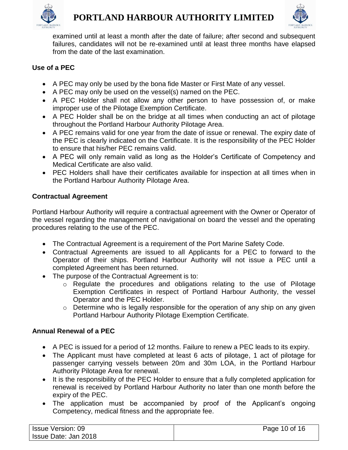



examined until at least a month after the date of failure; after second and subsequent failures, candidates will not be re-examined until at least three months have elapsed from the date of the last examination.

#### **Use of a PEC**

- A PEC may only be used by the bona fide Master or First Mate of any vessel.
- A PEC may only be used on the vessel(s) named on the PEC.
- A PEC Holder shall not allow any other person to have possession of, or make improper use of the Pilotage Exemption Certificate.
- A PEC Holder shall be on the bridge at all times when conducting an act of pilotage throughout the Portland Harbour Authority Pilotage Area.
- A PEC remains valid for one year from the date of issue or renewal. The expiry date of the PEC is clearly indicated on the Certificate. It is the responsibility of the PEC Holder to ensure that his/her PEC remains valid.
- A PEC will only remain valid as long as the Holder's Certificate of Competency and Medical Certificate are also valid.
- PEC Holders shall have their certificates available for inspection at all times when in the Portland Harbour Authority Pilotage Area.

#### **Contractual Agreement**

Portland Harbour Authority will require a contractual agreement with the Owner or Operator of the vessel regarding the management of navigational on board the vessel and the operating procedures relating to the use of the PEC.

- The Contractual Agreement is a requirement of the Port Marine Safety Code.
- Contractual Agreements are issued to all Applicants for a PEC to forward to the Operator of their ships. Portland Harbour Authority will not issue a PEC until a completed Agreement has been returned.
- The purpose of the Contractual Agreement is to:
	- o Regulate the procedures and obligations relating to the use of Pilotage Exemption Certificates in respect of Portland Harbour Authority, the vessel Operator and the PEC Holder.
	- $\circ$  Determine who is legally responsible for the operation of any ship on any given Portland Harbour Authority Pilotage Exemption Certificate.

#### **Annual Renewal of a PEC**

- A PEC is issued for a period of 12 months. Failure to renew a PEC leads to its expiry.
- The Applicant must have completed at least 6 acts of pilotage, 1 act of pilotage for passenger carrying vessels between 20m and 30m LOA, in the Portland Harbour Authority Pilotage Area for renewal.
- It is the responsibility of the PEC Holder to ensure that a fully completed application for renewal is received by Portland Harbour Authority no later than one month before the expiry of the PEC.
- The application must be accompanied by proof of the Applicant's ongoing Competency, medical fitness and the appropriate fee.

| <b>Issue Version: 09</b> | Page 10 of 16 |
|--------------------------|---------------|
| Issue Date: Jan 2018     |               |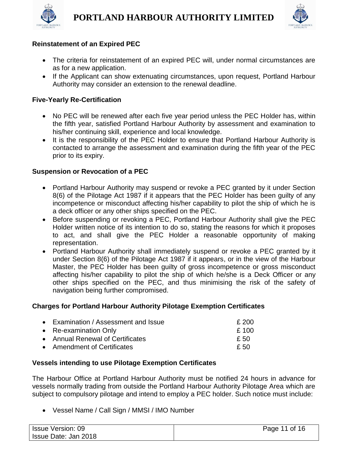



#### **Reinstatement of an Expired PEC**

- The criteria for reinstatement of an expired PEC will, under normal circumstances are as for a new application.
- If the Applicant can show extenuating circumstances, upon request, Portland Harbour Authority may consider an extension to the renewal deadline.

#### **Five-Yearly Re-Certification**

- No PEC will be renewed after each five year period unless the PEC Holder has, within the fifth year, satisfied Portland Harbour Authority by assessment and examination to his/her continuing skill, experience and local knowledge.
- It is the responsibility of the PEC Holder to ensure that Portland Harbour Authority is contacted to arrange the assessment and examination during the fifth year of the PEC prior to its expiry.

#### **Suspension or Revocation of a PEC**

- Portland Harbour Authority may suspend or revoke a PEC granted by it under Section 8(6) of the Pilotage Act 1987 if it appears that the PEC Holder has been guilty of any incompetence or misconduct affecting his/her capability to pilot the ship of which he is a deck officer or any other ships specified on the PEC.
- Before suspending or revoking a PEC, Portland Harbour Authority shall give the PEC Holder written notice of its intention to do so, stating the reasons for which it proposes to act, and shall give the PEC Holder a reasonable opportunity of making representation.
- Portland Harbour Authority shall immediately suspend or revoke a PEC granted by it under Section 8(6) of the Pilotage Act 1987 if it appears, or in the view of the Harbour Master, the PEC Holder has been guilty of gross incompetence or gross misconduct affecting his/her capability to pilot the ship of which he/she is a Deck Officer or any other ships specified on the PEC, and thus minimising the risk of the safety of navigation being further compromised.

#### **Charges for Portland Harbour Authority Pilotage Exemption Certificates**

• Examination / Assessment and Issue **EXAMING ASSESSMENT** 6 200 • Re-examination Only **E**• Annual Renewal of Certificates **E**• Amendment of Certificates **E**

#### **Vessels intending to use Pilotage Exemption Certificates**

The Harbour Office at Portland Harbour Authority must be notified 24 hours in advance for vessels normally trading from outside the Portland Harbour Authority Pilotage Area which are subject to compulsory pilotage and intend to employ a PEC holder. Such notice must include:

• Vessel Name / Call Sign / MMSI / IMO Number

| <b>Issue Version: 09</b> | Page 11 of 16 |
|--------------------------|---------------|
| Issue Date: Jan 2018     |               |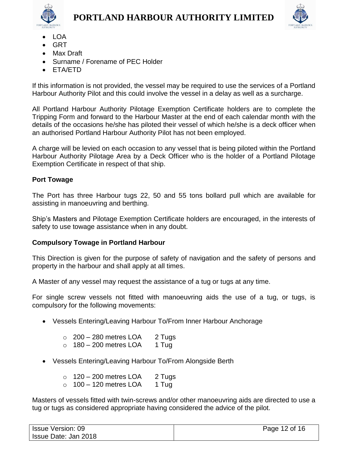



- - LOA
	- GRT
	- Max Draft
	- Surname / Forename of PEC Holder
	- ETA/ETD

If this information is not provided, the vessel may be required to use the services of a Portland Harbour Authority Pilot and this could involve the vessel in a delay as well as a surcharge.

All Portland Harbour Authority Pilotage Exemption Certificate holders are to complete the Tripping Form and forward to the Harbour Master at the end of each calendar month with the details of the occasions he/she has piloted their vessel of which he/she is a deck officer when an authorised Portland Harbour Authority Pilot has not been employed.

A charge will be levied on each occasion to any vessel that is being piloted within the Portland Harbour Authority Pilotage Area by a Deck Officer who is the holder of a Portland Pilotage Exemption Certificate in respect of that ship.

## **Port Towage**

The Port has three Harbour tugs 22, 50 and 55 tons bollard pull which are available for assisting in manoeuvring and berthing.

Ship's Masters and Pilotage Exemption Certificate holders are encouraged, in the interests of safety to use towage assistance when in any doubt.

## **Compulsory Towage in Portland Harbour**

This Direction is given for the purpose of safety of navigation and the safety of persons and property in the harbour and shall apply at all times.

A Master of any vessel may request the assistance of a tug or tugs at any time.

For single screw vessels not fitted with manoeuvring aids the use of a tug, or tugs, is compulsory for the following movements:

- Vessels Entering/Leaving Harbour To/From Inner Harbour Anchorage
	- $\circ$  200 280 metres LOA 2 Tugs
	- $\circ$  180 200 metres LOA 1 Tug
- Vessels Entering/Leaving Harbour To/From Alongside Berth
	- $\circ$  120 200 metres LOA 2 Tugs
	- $\circ$  100 120 metres LOA 1 Tug

Masters of vessels fitted with twin-screws and/or other manoeuvring aids are directed to use a tug or tugs as considered appropriate having considered the advice of the pilot.

| <b>Issue Version: 09</b> | Page 12 of 16 |
|--------------------------|---------------|
| Issue Date: Jan 2018     |               |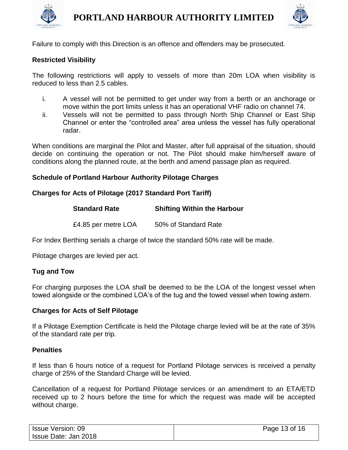



Failure to comply with this Direction is an offence and offenders may be prosecuted.

#### **Restricted Visibility**

The following restrictions will apply to vessels of more than 20m LOA when visibility is reduced to less than 2.5 cables.

- i. A vessel will not be permitted to get under way from a berth or an anchorage or move within the port limits unless it has an operational VHF radio on channel 74.
- ii. Vessels will not be permitted to pass through North Ship Channel or East Ship Channel or enter the "controlled area" area unless the vessel has fully operational radar.

When conditions are marginal the Pilot and Master, after full appraisal of the situation, should decide on continuing the operation or not. The Pilot should make him/herself aware of conditions along the planned route, at the berth and amend passage plan as required.

#### **Schedule of Portland Harbour Authority Pilotage Charges**

#### **Charges for Acts of Pilotage (2017 Standard Port Tariff)**

| <b>Standard Rate</b> | <b>Shifting Within the Harbour</b> |
|----------------------|------------------------------------|
| £4.85 per metre LOA  | 50% of Standard Rate               |

For Index Berthing serials a charge of twice the standard 50% rate will be made.

Pilotage charges are levied per act.

#### **Tug and Tow**

For charging purposes the LOA shall be deemed to be the LOA of the longest vessel when towed alongside or the combined LOA's of the tug and the towed vessel when towing astern.

#### **Charges for Acts of Self Pilotage**

If a Pilotage Exemption Certificate is held the Pilotage charge levied will be at the rate of 35% of the standard rate per trip.

#### **Penalties**

If less than 6 hours notice of a request for Portland Pilotage services is received a penalty charge of 25% of the Standard Charge will be levied.

Cancellation of a request for Portland Pilotage services or an amendment to an ETA/ETD received up to 2 hours before the time for which the request was made will be accepted without charge.

| <b>Issue Version: 09</b> | Page 13 of 16 |
|--------------------------|---------------|
| Issue Date: Jan 2018     |               |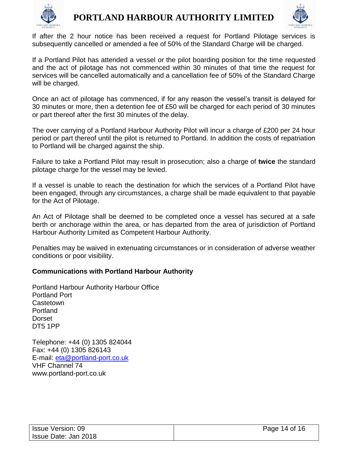



If after the 2 hour notice has been received a request for Portland Pilotage services is subsequently cancelled or amended a fee of 50% of the Standard Charge will be charged.

If a Portland Pilot has attended a vessel or the pilot boarding position for the time requested and the act of pilotage has not commenced within 30 minutes of that time the request for services will be cancelled automatically and a cancellation fee of 50% of the Standard Charge will be charged.

Once an act of pilotage has commenced, if for any reason the vessel's transit is delayed for 30 minutes or more, then a detention fee of £50 will be charged for each period of 30 minutes or part thereof after the first 30 minutes of the delay.

The over carrying of a Portland Harbour Authority Pilot will incur a charge of £200 per 24 hour period or part thereof until the pilot is returned to Portland. In addition the costs of repatriation to Portland will be charged against the ship.

Failure to take a Portland Pilot may result in prosecution; also a charge of **twice** the standard pilotage charge for the vessel may be levied.

If a vessel is unable to reach the destination for which the services of a Portland Pilot have been engaged, through any circumstances, a charge shall be made equivalent to that payable for the Act of Pilotage.

An Act of Pilotage shall be deemed to be completed once a vessel has secured at a safe berth or anchorage within the area, or has departed from the area of jurisdiction of Portland Harbour Authority Limited as Competent Harbour Authority.

Penalties may be waived in extenuating circumstances or in consideration of adverse weather conditions or poor visibility.

#### **Communications with Portland Harbour Authority**

Portland Harbour Authority Harbour Office Portland Port **Castetown** Portland Dorset DT5 1PP

Telephone: +44 (0) 1305 824044 Fax: +44 (0) 1305 826143 E-mail: [eta@portland-port.co.uk](mailto:eta@portland-port.co.uk) VHF Channel 74 www.portland-port.co.uk

| <b>Issue Version: 09</b> | Page 14 of 16 |
|--------------------------|---------------|
| Issue Date: Jan 2018     |               |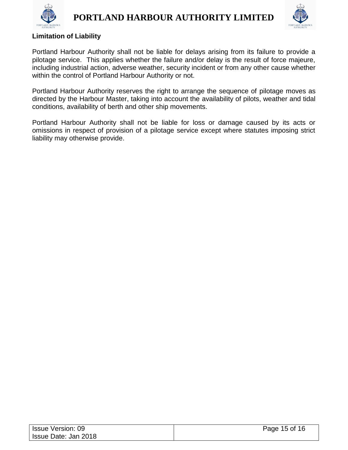



#### **Limitation of Liability**

Portland Harbour Authority shall not be liable for delays arising from its failure to provide a pilotage service. This applies whether the failure and/or delay is the result of force majeure, including industrial action, adverse weather, security incident or from any other cause whether within the control of Portland Harbour Authority or not.

Portland Harbour Authority reserves the right to arrange the sequence of pilotage moves as directed by the Harbour Master, taking into account the availability of pilots, weather and tidal conditions, availability of berth and other ship movements.

Portland Harbour Authority shall not be liable for loss or damage caused by its acts or omissions in respect of provision of a pilotage service except where statutes imposing strict liability may otherwise provide.

| <b>Issue Version: 09</b> | Page 15 of 16 |
|--------------------------|---------------|
| Issue Date: Jan 2018     |               |